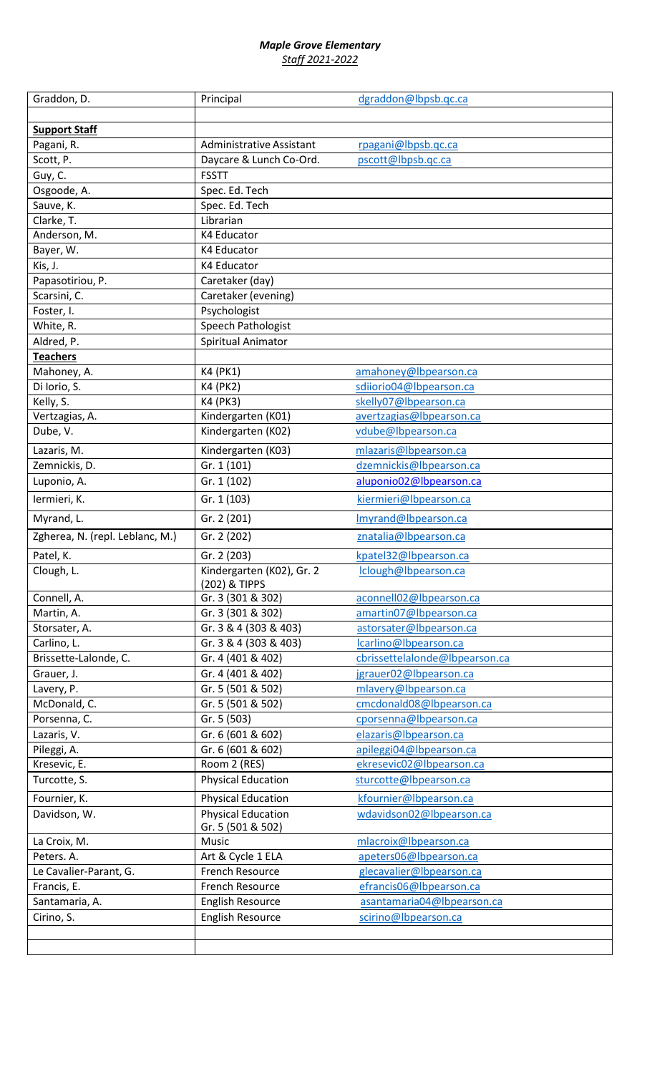## *Maple Grove Elementary Staff 2021-2022*

| Graddon, D.                     | Principal                                      | dgraddon@lbpsb.qc.ca           |
|---------------------------------|------------------------------------------------|--------------------------------|
|                                 |                                                |                                |
| <b>Support Staff</b>            |                                                |                                |
| Pagani, R.                      | <b>Administrative Assistant</b>                | rpagani@lbpsb.qc.ca            |
| Scott, P.                       | Daycare & Lunch Co-Ord.                        | pscott@lbpsb.qc.ca             |
| Guy, C.                         | <b>FSSTT</b>                                   |                                |
| Osgoode, A.                     | Spec. Ed. Tech                                 |                                |
| Sauve, K.                       | Spec. Ed. Tech                                 |                                |
| Clarke, T.                      | Librarian                                      |                                |
| Anderson, M.                    | <b>K4 Educator</b>                             |                                |
| Bayer, W.                       | K4 Educator                                    |                                |
| Kis, J.                         | <b>K4 Educator</b>                             |                                |
| Papasotiriou, P.                | Caretaker (day)                                |                                |
| Scarsini, C.                    | Caretaker (evening)                            |                                |
| Foster, I.                      | Psychologist                                   |                                |
| White, R.                       | Speech Pathologist                             |                                |
| Aldred, P.                      | Spiritual Animator                             |                                |
| <b>Teachers</b>                 |                                                |                                |
| Mahoney, A.                     | K4 (PK1)                                       | amahoney@lbpearson.ca          |
| Di Iorio, S.                    | <b>K4 (PK2)</b>                                | sdiiorio04@lbpearson.ca        |
| Kelly, S.                       | K4 (PK3)                                       | skelly07@lbpearson.ca          |
| Vertzagias, A.                  | Kindergarten (K01)                             | avertzagias@lbpearson.ca       |
| Dube, V.                        | Kindergarten (K02)                             | vdube@lbpearson.ca             |
| Lazaris, M.                     | Kindergarten (K03)                             | mlazaris@lbpearson.ca          |
| Zemnickis, D.                   | Gr. 1 (101)                                    | dzemnickis@lbpearson.ca        |
| Luponio, A.                     | Gr. 1 (102)                                    | aluponio02@lbpearson.ca        |
| lermieri, K.                    | Gr. 1 (103)                                    | kiermieri@lbpearson.ca         |
| Myrand, L.                      | Gr. 2 (201)                                    | Imyrand@Ibpearson.ca           |
| Zgherea, N. (repl. Leblanc, M.) | Gr. 2 (202)                                    | znatalia@lbpearson.ca          |
| Patel, K.                       | Gr. 2 (203)                                    | kpatel32@lbpearson.ca          |
| Clough, L.                      | Kindergarten (K02), Gr. 2                      | Iclough@Ibpearson.ca           |
|                                 | (202) & TIPPS                                  |                                |
| Connell, A.                     | Gr. 3 (301 & 302)                              | aconnell02@lbpearson.ca        |
| Martin, A.                      | Gr. 3 (301 & 302)                              | amartin07@lbpearson.ca         |
| Storsater, A.                   | Gr. 3 & 4 (303 & 403)                          | astorsater@lbpearson.ca        |
| Carlino, L.                     | Gr. 3 & 4 (303 & 403)                          | lcarlino@lbpearson.ca          |
| Brissette-Lalonde, C.           | Gr. 4 (401 & 402)                              | cbrissettelalonde@lbpearson.ca |
| Grauer, J.                      | Gr. 4 (401 & 402)                              | jgrauer02@lbpearson.ca         |
| Lavery, P.                      | Gr. 5 (501 & 502)                              | mlavery@lbpearson.ca           |
| McDonald, C.                    | Gr. 5 (501 & 502)                              | cmcdonald08@lbpearson.ca       |
| Porsenna, C.                    | Gr. 5 (503)                                    | cporsenna@lbpearson.ca         |
| Lazaris, V.                     | Gr. 6 (601 & 602)                              | elazaris@lbpearson.ca          |
| Pileggi, A.                     | Gr. 6 (601 & 602)                              | apileggi04@lbpearson.ca        |
| Kresevic, E.                    | Room 2 (RES)                                   | ekresevic02@lbpearson.ca       |
| Turcotte, S.                    | <b>Physical Education</b>                      | sturcotte@lbpearson.ca         |
| Fournier, K.                    | <b>Physical Education</b>                      | kfournier@lbpearson.ca         |
| Davidson, W.                    | <b>Physical Education</b><br>Gr. 5 (501 & 502) | wdavidson02@lbpearson.ca       |
| La Croix, M.                    | Music                                          | mlacroix@lbpearson.ca          |
| Peters. A.                      | Art & Cycle 1 ELA                              | apeters06@lbpearson.ca         |
| Le Cavalier-Parant, G.          | French Resource                                | glecavalier@lbpearson.ca       |
| Francis, E.                     | French Resource                                | efrancis06@lbpearson.ca        |
| Santamaria, A.                  | <b>English Resource</b>                        | asantamaria04@lbpearson.ca     |
| Cirino, S.                      | <b>English Resource</b>                        | scirino@lbpearson.ca           |
|                                 |                                                |                                |
|                                 |                                                |                                |